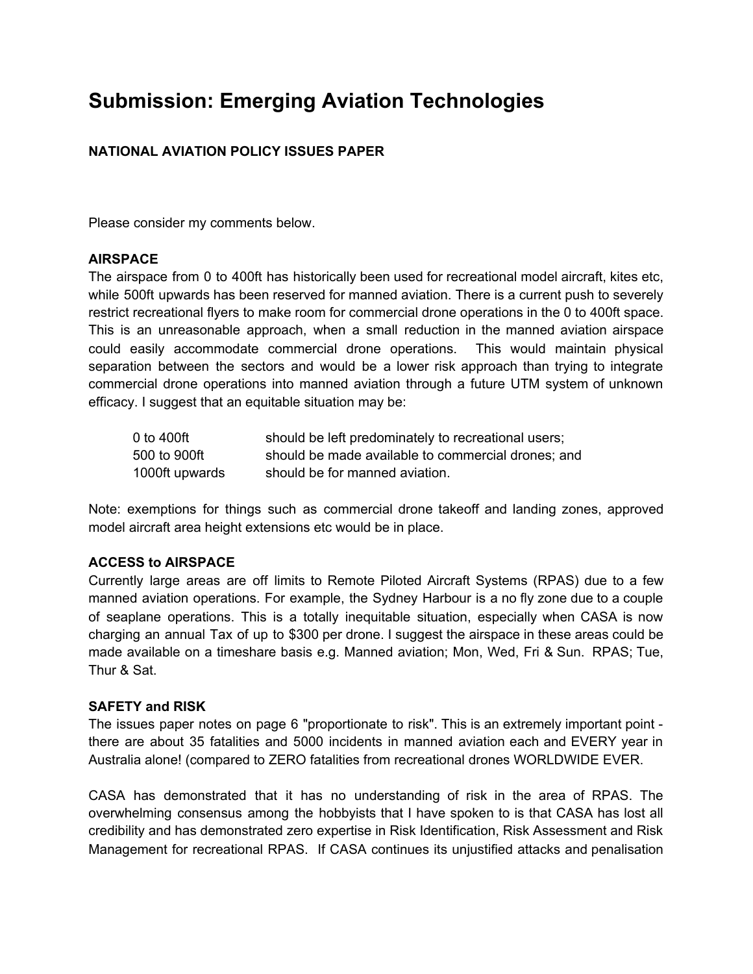# **Submission: Emerging Aviation Technologies**

## **NATIONAL AVIATION POLICY ISSUES PAPER**

Please consider my comments below.

### **AIRSPACE**

The airspace from 0 to 400ft has historically been used for recreational model aircraft, kites etc, while 500ft upwards has been reserved for manned aviation. There is a current push to severely restrict recreational flyers to make room for commercial drone operations in the 0 to 400ft space. This is an unreasonable approach, when a small reduction in the manned aviation airspace could easily accommodate commercial drone operations. This would maintain physical separation between the sectors and would be a lower risk approach than trying to integrate commercial drone operations into manned aviation through a future UTM system of unknown efficacy. I suggest that an equitable situation may be:

| 0 to 400ft     | should be left predominately to recreational users; |
|----------------|-----------------------------------------------------|
| 500 to 900ft   | should be made available to commercial drones; and  |
| 1000ft upwards | should be for manned aviation.                      |

Note: exemptions for things such as commercial drone takeoff and landing zones, approved model aircraft area height extensions etc would be in place.

### **ACCESS to AIRSPACE**

Currently large areas are off limits to Remote Piloted Aircraft Systems (RPAS) due to a few manned aviation operations. For example, the Sydney Harbour is a no fly zone due to a couple of seaplane operations. This is a totally inequitable situation, especially when CASA is now charging an annual Tax of up to \$300 per drone. I suggest the airspace in these areas could be made available on a timeshare basis e.g. Manned aviation; Mon, Wed, Fri & Sun. RPAS; Tue, Thur & Sat.

#### **SAFETY and RISK**

The issues paper notes on page 6 "proportionate to risk". This is an extremely important point there are about 35 fatalities and 5000 incidents in manned aviation each and EVERY year in Australia alone! (compared to ZERO fatalities from recreational drones WORLDWIDE EVER.

CASA has demonstrated that it has no understanding of risk in the area of RPAS. The overwhelming consensus among the hobbyists that I have spoken to is that CASA has lost all credibility and has demonstrated zero expertise in Risk Identification, Risk Assessment and Risk Management for recreational RPAS. If CASA continues its unjustified attacks and penalisation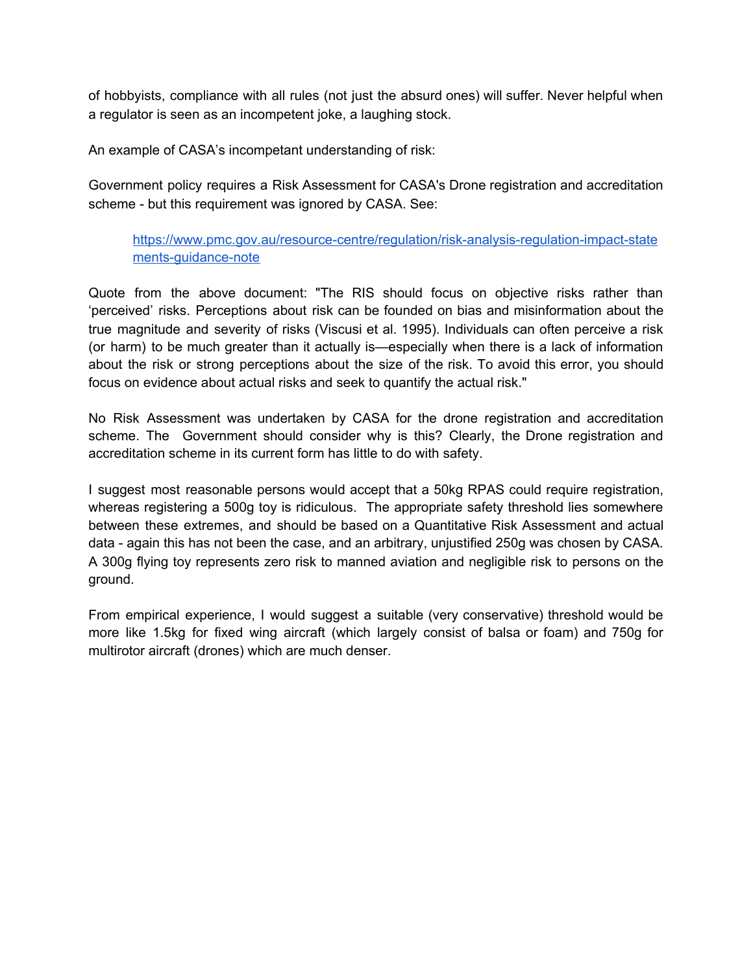of hobbyists, compliance with all rules (not just the absurd ones) will suffer. Never helpful when a regulator is seen as an incompetent joke, a laughing stock.

An example of CASA's incompetant understanding of risk:

Government policy requires a Risk Assessment for CASA's Drone registration and accreditation scheme - but this requirement was ignored by CASA. See:

[https://www.pmc.gov.au/resource-centre/regulation/risk-analysis-regulation-impact-state](https://www.pmc.gov.au/resource-centre/regulation/risk-analysis-regulation-impact-statements-guidance-note) [ments-guidance-note](https://www.pmc.gov.au/resource-centre/regulation/risk-analysis-regulation-impact-statements-guidance-note)

Quote from the above document: "The RIS should focus on objective risks rather than 'perceived' risks. Perceptions about risk can be founded on bias and misinformation about the true magnitude and severity of risks (Viscusi et al. 1995). Individuals can often perceive a risk (or harm) to be much greater than it actually is—especially when there is a lack of information about the risk or strong perceptions about the size of the risk. To avoid this error, you should focus on evidence about actual risks and seek to quantify the actual risk."

No Risk Assessment was undertaken by CASA for the drone registration and accreditation scheme. The Government should consider why is this? Clearly, the Drone registration and accreditation scheme in its current form has little to do with safety.

I suggest most reasonable persons would accept that a 50kg RPAS could require registration, whereas registering a 500g toy is ridiculous. The appropriate safety threshold lies somewhere between these extremes, and should be based on a Quantitative Risk Assessment and actual data - again this has not been the case, and an arbitrary, unjustified 250g was chosen by CASA. A 300g flying toy represents zero risk to manned aviation and negligible risk to persons on the ground.

From empirical experience, I would suggest a suitable (very conservative) threshold would be more like 1.5kg for fixed wing aircraft (which largely consist of balsa or foam) and 750g for multirotor aircraft (drones) which are much denser.